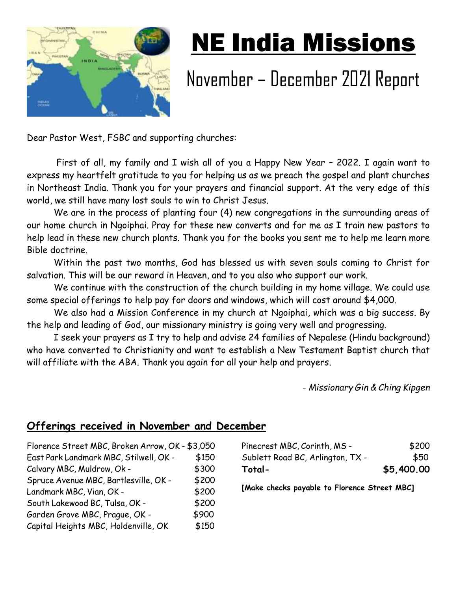

## NE India Missions

## November – December 2021 Report

Dear Pastor West, FSBC and supporting churches:

 First of all, my family and I wish all of you a Happy New Year – 2022. I again want to express my heartfelt gratitude to you for helping us as we preach the gospel and plant churches in Northeast India. Thank you for your prayers and financial support. At the very edge of this world, we still have many lost souls to win to Christ Jesus.

We are in the process of planting four (4) new congregations in the surrounding areas of our home church in Ngoiphai. Pray for these new converts and for me as I train new pastors to help lead in these new church plants. Thank you for the books you sent me to help me learn more Bible doctrine.

Within the past two months, God has blessed us with seven souls coming to Christ for salvation. This will be our reward in Heaven, and to you also who support our work.

We continue with the construction of the church building in my home village. We could use some special offerings to help pay for doors and windows, which will cost around \$4,000.

We also had a Mission Conference in my church at Ngoiphai, which was a big success. By the help and leading of God, our missionary ministry is going very well and progressing.

I seek your prayers as I try to help and advise 24 families of Nepalese (Hindu background) who have converted to Christianity and want to establish a New Testament Baptist church that will affiliate with the ABA. Thank you again for all your help and prayers.

- *Missionary Gin & Ching Kipgen*

## **Offerings received in November and December**

| Florence Street MBC, Broken Arrow, OK - \$3,050 |       |
|-------------------------------------------------|-------|
| East Park Landmark MBC, Stilwell, OK -          | \$150 |
| Calvary MBC, Muldrow, Ok -                      | \$300 |
| Spruce Avenue MBC, Bartlesville, OK -           | \$200 |
| Landmark MBC, Vian, OK -                        | \$200 |
| South Lakewood BC, Tulsa, OK -                  | \$200 |
| Garden Grove MBC, Prague, OK -                  | \$900 |
| Capital Heights MBC, Holdenville, OK            | \$150 |

| Total-                           | \$5,400.00 |
|----------------------------------|------------|
| Sublett Road BC, Arlington, TX - | \$50       |
| Pinecrest MBC, Corinth, MS -     | \$200      |

**[Make checks payable to Florence Street MBC]**